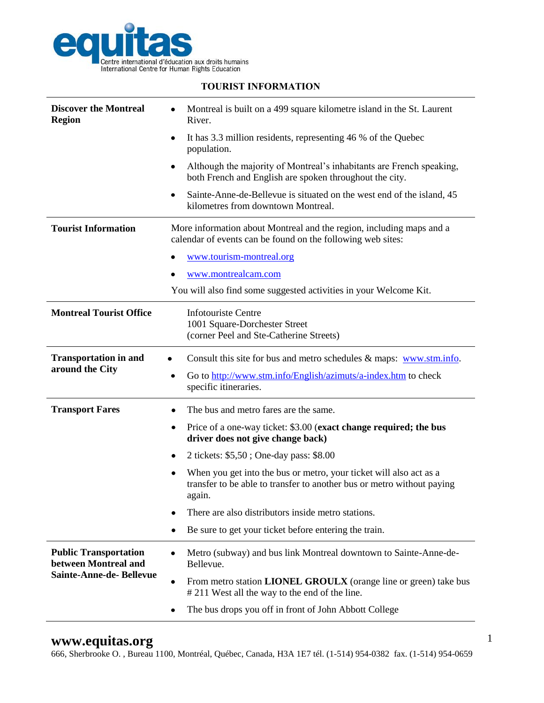

| <b>Discover the Montreal</b><br><b>Region</b>                                          | Montreal is built on a 499 square kilometre island in the St. Laurent<br>٠<br>River.                                                                        |
|----------------------------------------------------------------------------------------|-------------------------------------------------------------------------------------------------------------------------------------------------------------|
|                                                                                        | It has 3.3 million residents, representing 46 % of the Quebec<br>٠<br>population.                                                                           |
|                                                                                        | Although the majority of Montreal's inhabitants are French speaking,<br>٠<br>both French and English are spoken throughout the city.                        |
|                                                                                        | Sainte-Anne-de-Bellevue is situated on the west end of the island, 45<br>٠<br>kilometres from downtown Montreal.                                            |
| <b>Tourist Information</b>                                                             | More information about Montreal and the region, including maps and a<br>calendar of events can be found on the following web sites:                         |
|                                                                                        | www.tourism-montreal.org<br>٠                                                                                                                               |
|                                                                                        | www.montrealcam.com                                                                                                                                         |
|                                                                                        | You will also find some suggested activities in your Welcome Kit.                                                                                           |
| <b>Montreal Tourist Office</b>                                                         | <b>Infotouriste Centre</b><br>1001 Square-Dorchester Street<br>(corner Peel and Ste-Catherine Streets)                                                      |
| <b>Transportation in and</b><br>around the City                                        | Consult this site for bus and metro schedules $\&$ maps: www.stm.info.                                                                                      |
|                                                                                        | Go to http://www.stm.info/English/azimuts/a-index.htm to check<br>٠<br>specific itineraries.                                                                |
| <b>Transport Fares</b>                                                                 | The bus and metro fares are the same.<br>٠                                                                                                                  |
|                                                                                        | Price of a one-way ticket: \$3.00 (exact change required; the bus<br>٠<br>driver does not give change back)                                                 |
|                                                                                        | 2 tickets: \$5,50; One-day pass: \$8.00<br>٠                                                                                                                |
|                                                                                        | When you get into the bus or metro, your ticket will also act as a<br>٠<br>transfer to be able to transfer to another bus or metro without paying<br>again. |
|                                                                                        | There are also distributors inside metro stations.                                                                                                          |
|                                                                                        | Be sure to get your ticket before entering the train.<br>٠                                                                                                  |
| <b>Public Transportation</b><br>between Montreal and<br><b>Sainte-Anne-de-Bellevue</b> | Metro (subway) and bus link Montreal downtown to Sainte-Anne-de-<br>$\bullet$<br>Bellevue.                                                                  |
|                                                                                        | From metro station <b>LIONEL GROULX</b> (orange line or green) take bus<br>٠<br>#211 West all the way to the end of the line.                               |
|                                                                                        | The bus drops you off in front of John Abbott College                                                                                                       |

## **TOURIST INFORMATION**

## **www.equitas.org**

666, Sherbrooke O. , Bureau 1100, Montréal, Québec, Canada, H3A 1E7 tél. (1-514) 954-0382 fax. (1-514) 954-0659